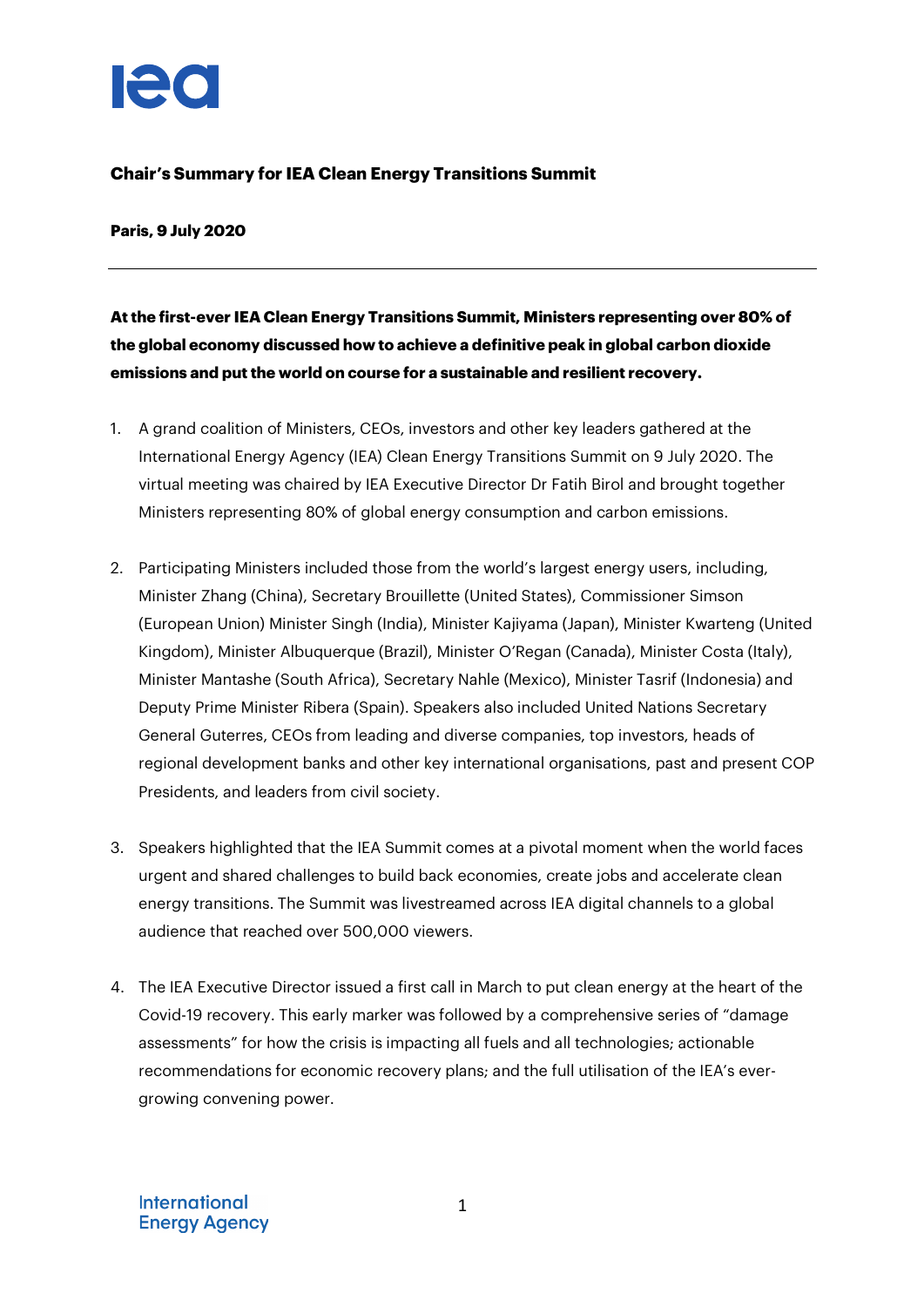

## **Chair's Summary for IEA Clean Energy Transitions Summit**

**Paris, 9 July 2020**

**At the first-ever IEA Clean Energy Transitions Summit, Ministers representing over 80% of the global economy discussed how to achieve a definitive peak in global carbon dioxide emissions and put the world on course for a sustainable and resilient recovery.**

- 1. A grand coalition of Ministers, CEOs, investors and other key leaders gathered at the International Energy Agency (IEA) Clean Energy Transitions Summit on 9 July 2020. The virtual meeting was chaired by IEA Executive Director Dr Fatih Birol and brought together Ministers representing 80% of global energy consumption and carbon emissions.
- 2. Participating Ministers included those from the world's largest energy users, including, Minister Zhang (China), Secretary Brouillette (United States), Commissioner Simson (European Union) Minister Singh (India), Minister Kajiyama (Japan), Minister Kwarteng (United Kingdom), Minister Albuquerque (Brazil), Minister O'Regan (Canada), Minister Costa (Italy), Minister Mantashe (South Africa), Secretary Nahle (Mexico), Minister Tasrif (Indonesia) and Deputy Prime Minister Ribera (Spain). Speakers also included United Nations Secretary General Guterres, CEOs from leading and diverse companies, top investors, heads of regional development banks and other key international organisations, past and present COP Presidents, and leaders from civil society.
- 3. Speakers highlighted that the IEA Summit comes at a pivotal moment when the world faces urgent and shared challenges to build back economies, create jobs and accelerate clean energy transitions. The Summit was livestreamed across IEA digital channels to a global audience that reached over 500,000 viewers.
- 4. The IEA Executive Director issued a first call in March to put clean energy at the heart of the Covid-19 recovery. This early marker was followed by a comprehensive series of "damage assessments" for how the crisis is impacting all fuels and all technologies; actionable recommendations for economic recovery plans; and the full utilisation of the IEA's evergrowing convening power.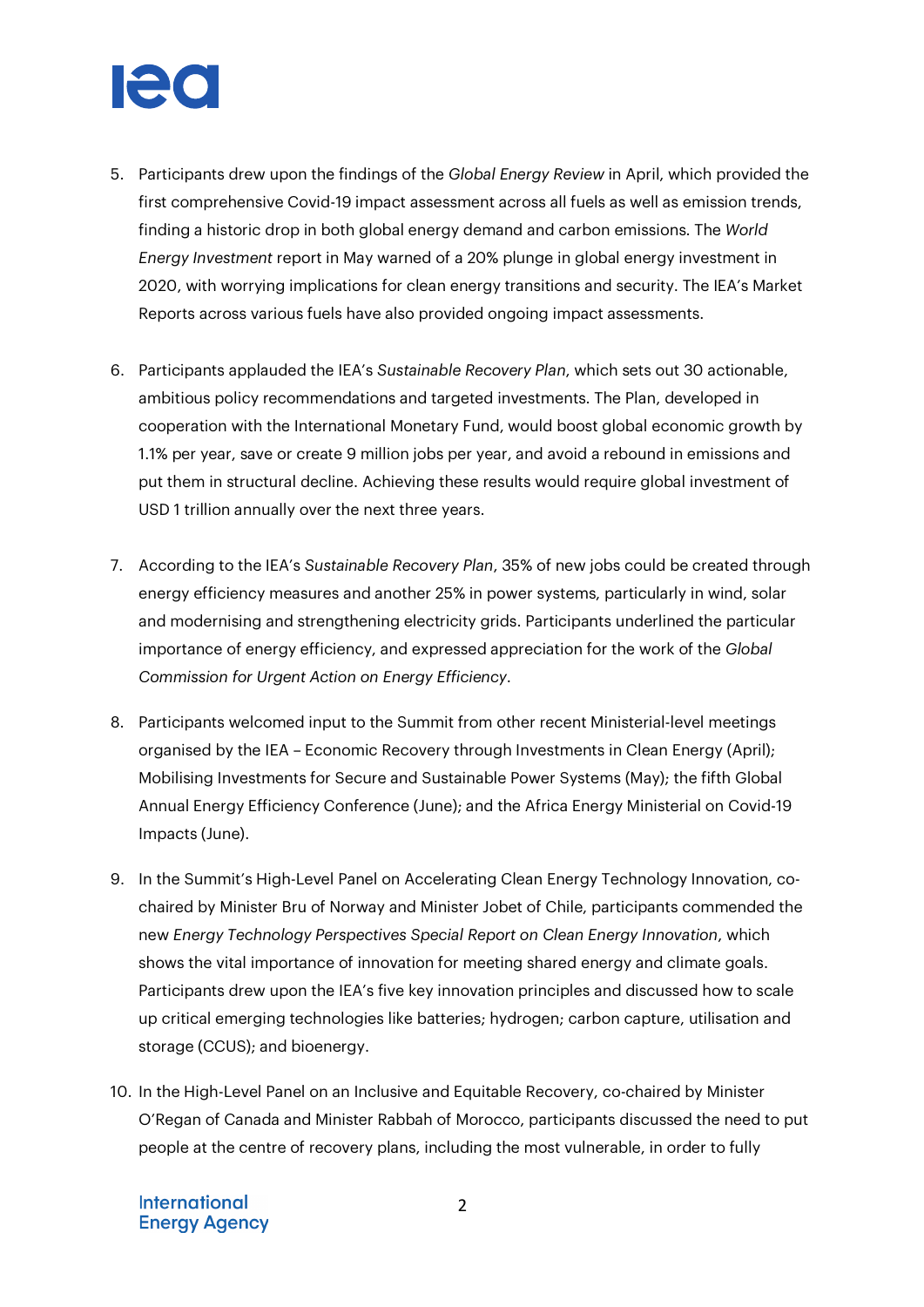

- 5. Participants drew upon the findings of the *Global Energy Review* in April, which provided the first comprehensive Covid-19 impact assessment across all fuels as well as emission trends, finding a historic drop in both global energy demand and carbon emissions. The *World Energy Investment* report in May warned of a 20% plunge in global energy investment in 2020, with worrying implications for clean energy transitions and security. The IEA's Market Reports across various fuels have also provided ongoing impact assessments.
- 6. Participants applauded the IEA's *Sustainable Recovery Plan*, which sets out 30 actionable, ambitious policy recommendations and targeted investments. The Plan, developed in cooperation with the International Monetary Fund, would boost global economic growth by 1.1% per year, save or create 9 million jobs per year, and avoid a rebound in emissions and put them in structural decline. Achieving these results would require global investment of USD 1 trillion annually over the next three years.
- 7. According to the IEA's *Sustainable Recovery Plan*, 35% of new jobs could be created through energy efficiency measures and another 25% in power systems, particularly in wind, solar and modernising and strengthening electricity grids. Participants underlined the particular importance of energy efficiency, and expressed appreciation for the work of the *Global Commission for Urgent Action on Energy Efficiency*.
- 8. Participants welcomed input to the Summit from other recent Ministerial-level meetings organised by the IEA – Economic Recovery through Investments in Clean Energy (April); Mobilising Investments for Secure and Sustainable Power Systems (May); the fifth Global Annual Energy Efficiency Conference (June); and the Africa Energy Ministerial on Covid-19 Impacts (June).
- 9. In the Summit's High-Level Panel on Accelerating Clean Energy Technology Innovation, cochaired by Minister Bru of Norway and Minister Jobet of Chile, participants commended the new *Energy Technology Perspectives Special Report on Clean Energy Innovation*, which shows the vital importance of innovation for meeting shared energy and climate goals. Participants drew upon the IEA's five key innovation principles and discussed how to scale up critical emerging technologies like batteries; hydrogen; carbon capture, utilisation and storage (CCUS); and bioenergy.
- 10. In the High-Level Panel on an Inclusive and Equitable Recovery, co-chaired by Minister O'Regan of Canada and Minister Rabbah of Morocco, participants discussed the need to put people at the centre of recovery plans, including the most vulnerable, in order to fully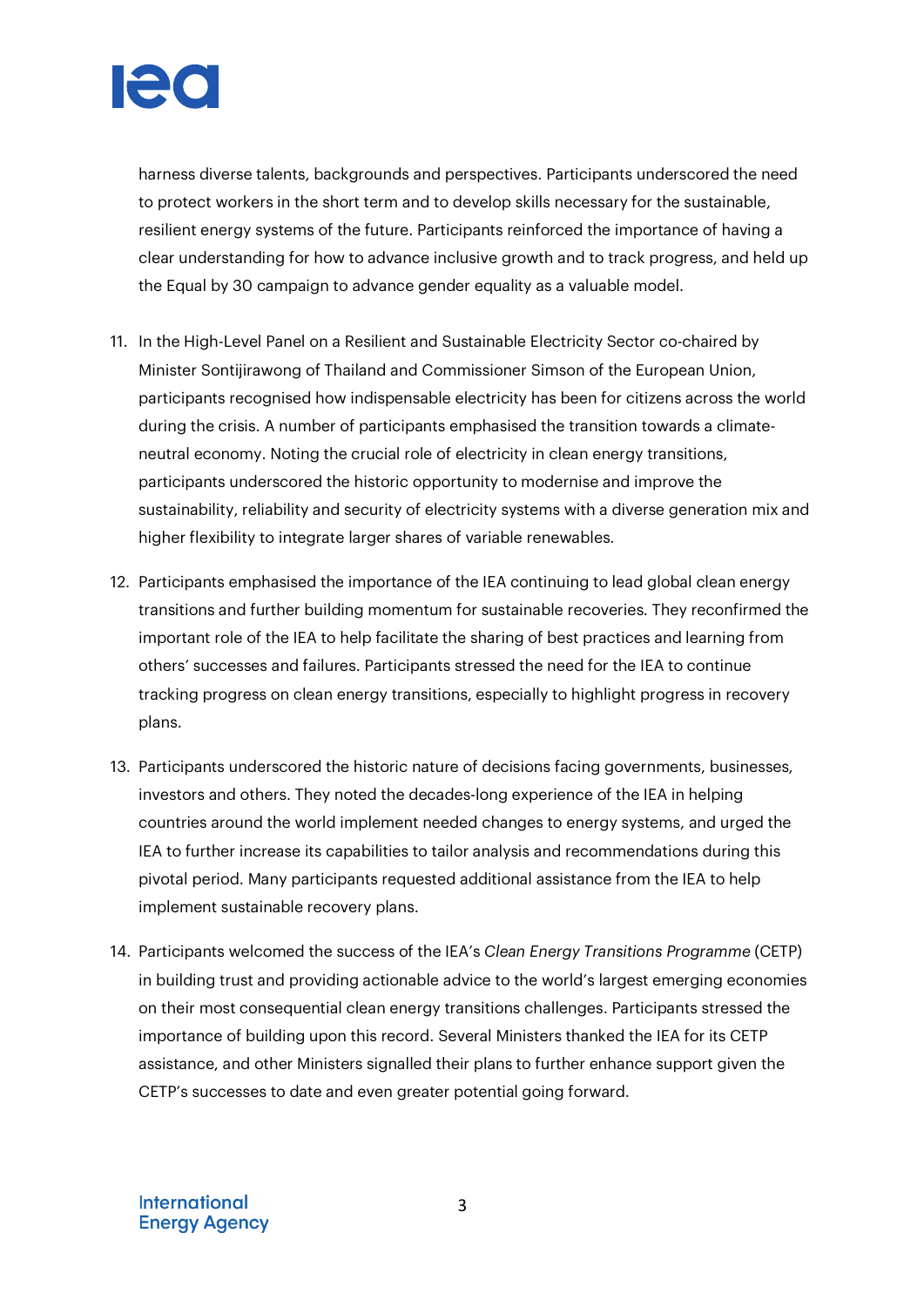

harness diverse talents, backgrounds and perspectives. Participants underscored the need to protect workers in the short term and to develop skills necessary for the sustainable, resilient energy systems of the future. Participants reinforced the importance of having a clear understanding for how to advance inclusive growth and to track progress, and held up the Equal by 30 campaign to advance gender equality as a valuable model.

- 11. In the High-Level Panel on a Resilient and Sustainable Electricity Sector co-chaired by Minister Sontijirawong of Thailand and Commissioner Simson of the European Union, participants recognised how indispensable electricity has been for citizens across the world during the crisis. A number of participants emphasised the transition towards a climateneutral economy. Noting the crucial role of electricity in clean energy transitions, participants underscored the historic opportunity to modernise and improve the sustainability, reliability and security of electricity systems with a diverse generation mix and higher flexibility to integrate larger shares of variable renewables.
- 12. Participants emphasised the importance of the IEA continuing to lead global clean energy transitions and further building momentum for sustainable recoveries. They reconfirmed the important role of the IEA to help facilitate the sharing of best practices and learning from others' successes and failures. Participants stressed the need for the IEA to continue tracking progress on clean energy transitions, especially to highlight progress in recovery plans.
- 13. Participants underscored the historic nature of decisions facing governments, businesses, investors and others. They noted the decades-long experience of the IEA in helping countries around the world implement needed changes to energy systems, and urged the IEA to further increase its capabilities to tailor analysis and recommendations during this pivotal period. Many participants requested additional assistance from the IEA to help implement sustainable recovery plans.
- 14. Participants welcomed the success of the IEA's *Clean Energy Transitions Programme* (CETP) in building trust and providing actionable advice to the world's largest emerging economies on their most consequential clean energy transitions challenges. Participants stressed the importance of building upon this record. Several Ministers thanked the IEA for its CETP assistance, and other Ministers signalled their plans to further enhance support given the CETP's successes to date and even greater potential going forward.